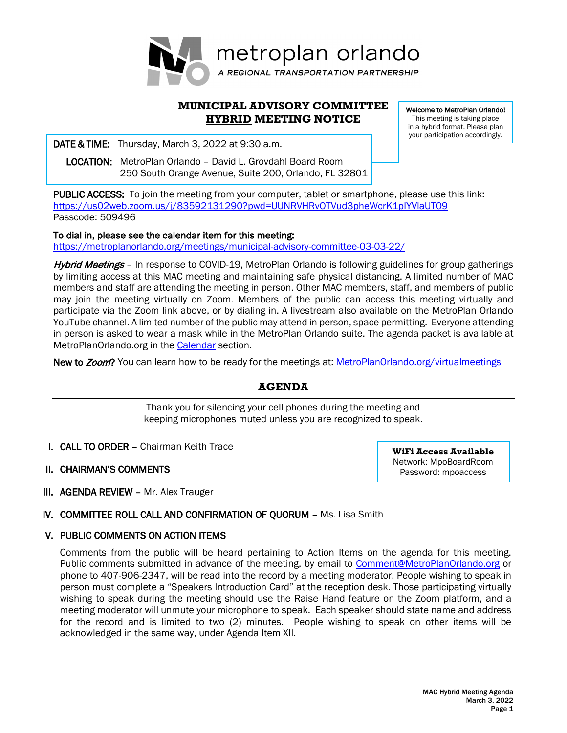

# **MUNICIPAL ADVISORY COMMITTEE HYBRID MEETING NOTICE**

**DATE & TIME:** Thursday, March 3, 2022 at 9:30 a.m.

 LOCATION: MetroPlan Orlando – David L. Grovdahl Board Room 250 South Orange Avenue, Suite 200, Orlando, FL 32801 Welcome to MetroPlan Orlando! This meeting is taking place in a **hybrid** format. Please plan your participation accordingly.

PUBLIC ACCESS: To join the meeting from your computer, tablet or smartphone, please use this link: <https://us02web.zoom.us/j/83592131290?pwd=UUNRVHRvOTVud3pheWcrK1pIYVlaUT09> Passcode: 509496

### To dial in, please see the calendar item for this meeting:

<https://metroplanorlando.org/meetings/municipal-advisory-committee-03-03-22/>

Hybrid Meetings - In response to COVID-19, MetroPlan Orlando is following guidelines for group gatherings by limiting access at this MAC meeting and maintaining safe physical distancing. A limited number of MAC members and staff are attending the meeting in person. Other MAC members, staff, and members of public may join the meeting virtually on Zoom. Members of the public can access this meeting virtually and participate via the Zoom link above, or by dialing in. A livestream also available on the MetroPlan Orlando YouTube channel. A limited number of the public may attend in person, space permitting. Everyone attending in person is asked to wear a mask while in the MetroPlan Orlando suite. The agenda packet is available at MetroPlanOrlando.org in the [Calendar](https://metroplanorlando.org/calendar/list/) section.

New to Zoom? You can learn how to be ready for the meetings at: MetroPlanOrlando.org/virtualmeetings

# **AGENDA**

Thank you for silencing your cell phones during the meeting and keeping microphones muted unless you are recognized to speak.

- I. CALL TO ORDER Chairman Keith Trace
- II. CHAIRMAN'S COMMENTS

**WiFi Access Available** Network: MpoBoardRoom Password: mpoaccess

III. AGENDA REVIEW – Mr. Alex Trauger

# IV. COMMITTEE ROLL CALL AND CONFIRMATION OF QUORUM – Ms. Lisa Smith

# V. PUBLIC COMMENTS ON ACTION ITEMS

Comments from the public will be heard pertaining to Action Items on the agenda for this meeting. Public comments submitted in advance of the meeting, by email to [Comment@MetroPlanOrlando.org](mailto:Comment@MetroPlanOrlando.org) or phone to 407-906-2347, will be read into the record by a meeting moderator. People wishing to speak in person must complete a "Speakers Introduction Card" at the reception desk. Those participating virtually wishing to speak during the meeting should use the Raise Hand feature on the Zoom platform, and a meeting moderator will unmute your microphone to speak. Each speaker should state name and address for the record and is limited to two (2) minutes. People wishing to speak on other items will be acknowledged in the same way, under Agenda Item XII.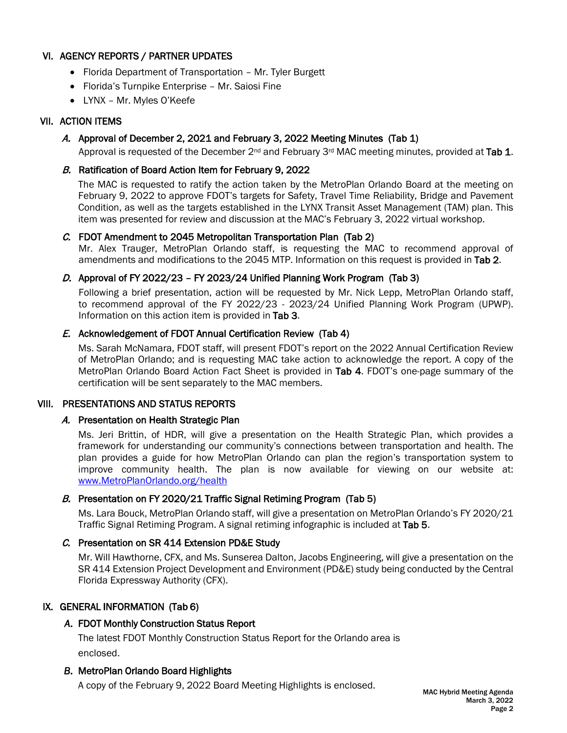# VI. AGENCY REPORTS / PARTNER UPDATES

- Florida Department of Transportation Mr. Tyler Burgett
- Florida's Turnpike Enterprise Mr. Saiosi Fine
- LYNX Mr. Myles O'Keefe

### VII. ACTION ITEMS

### A. Approval of December 2, 2021 and February 3, 2022 Meeting Minutes (Tab 1)

Approval is requested of the December  $2^{nd}$  and February 3<sup>rd</sup> MAC meeting minutes, provided at Tab 1.

### B. Ratification of Board Action Item for February 9, 2022

The MAC is requested to ratify the action taken by the MetroPlan Orlando Board at the meeting on February 9, 2022 to approve FDOT's targets for Safety, Travel Time Reliability, Bridge and Pavement Condition, as well as the targets established in the LYNX Transit Asset Management (TAM) plan. This item was presented for review and discussion at the MAC's February 3, 2022 virtual workshop.

### C. FDOT Amendment to 2045 Metropolitan Transportation Plan (Tab 2)

Mr. Alex Trauger, MetroPlan Orlando staff, is requesting the MAC to recommend approval of amendments and modifications to the 2045 MTP. Information on this request is provided in Tab 2.

### D. Approval of FY 2022/23 – FY 2023/24 Unified Planning Work Program (Tab 3)

Following a brief presentation, action will be requested by Mr. Nick Lepp, MetroPlan Orlando staff, to recommend approval of the FY 2022/23 - 2023/24 Unified Planning Work Program (UPWP). Information on this action item is provided in Tab 3.

### E. Acknowledgement of FDOT Annual Certification Review (Tab 4)

Ms. Sarah McNamara, FDOT staff, will present FDOT's report on the 2022 Annual Certification Review of MetroPlan Orlando; and is requesting MAC take action to acknowledge the report. A copy of the MetroPlan Orlando Board Action Fact Sheet is provided in Tab 4. FDOT's one-page summary of the certification will be sent separately to the MAC members.

### VIII. PRESENTATIONS AND STATUS REPORTS

### A. Presentation on Health Strategic Plan

Ms. Jeri Brittin, of HDR, will give a presentation on the Health Strategic Plan, which provides a framework for understanding our community's connections between transportation and health. The plan provides a guide for how MetroPlan Orlando can plan the region's transportation system to improve community health. The plan is now available for viewing on our website at: [www.MetroPlanOrlando.org/health](http://www.metroplanorlando.org/health)

# B. Presentation on FY 2020/21 Traffic Signal Retiming Program (Tab 5)

Ms. Lara Bouck, MetroPlan Orlando staff, will give a presentation on MetroPlan Orlando's FY 2020/21 Traffic Signal Retiming Program. A signal retiming infographic is included at Tab 5.

# C. Presentation on SR 414 Extension PD&E Study

Mr. Will Hawthorne, CFX, and Ms. Sunserea Dalton, Jacobs Engineering, will give a presentation on the SR 414 Extension Project Development and Environment (PD&E) study being conducted by the Central Florida Expressway Authority (CFX).

# IX. GENERAL INFORMATION (Tab 6)

### *A.* FDOT Monthly Construction Status Report

The latest FDOT Monthly Construction Status Report for the Orlando area is enclosed.

### *B.* MetroPlan Orlando Board Highlights

A copy of the February 9, 2022 Board Meeting Highlights is enclosed.